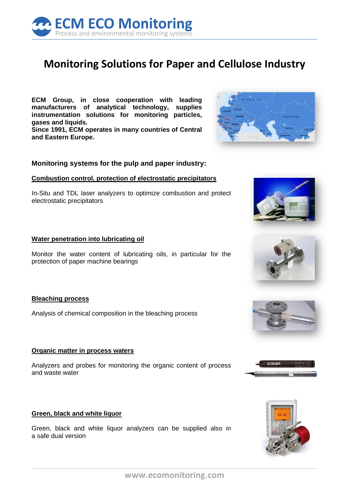

# **Monitoring Solutions for Paper and Cellulose Industry**

**ECM Group, in close cooperation with leading manufacturers of analytical technology, supplies instrumentation solutions for monitoring particles, gases and liquids. Since 1991, ECM operates in many countries of Central and Eastern Europe.**

# **Monitoring systems for the pulp and paper industry:**

#### **Combustion control, protection of electrostatic precipitators**

In-Situ and TDL laser analyzers to optimize combustion and protect electrostatic precipitators

#### **Water penetration into lubricating oil**

Monitor the water content of lubricating oils, in particular for the protection of paper machine bearings

#### **Bleaching process**

Analysis of chemical composition in the bleaching process

#### **Organic matter in process waters**

Analyzers and probes for monitoring the organic content of process and waste water

#### **Green, black and white liquor**

Green, black and white liquor analyzers can be supplied also in a safe dual version











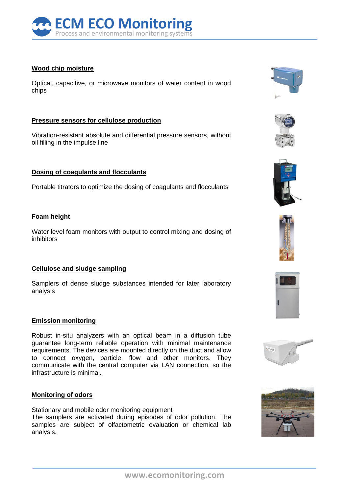

## **Wood chip moisture**

Optical, capacitive, or microwave monitors of water content in wood chips

## **Pressure sensors for cellulose production**

Vibration-resistant absolute and differential pressure sensors, without oil filling in the impulse line

## **Dosing of coagulants and flocculants**

Portable titrators to optimize the dosing of coagulants and flocculants

## **Foam height**

Water level foam monitors with output to control mixing and dosing of inhibitors

#### **Cellulose and sludge sampling**

Samplers of dense sludge substances intended for later laboratory analysis

# **Emission monitoring**

Robust in-situ analyzers with an optical beam in a diffusion tube guarantee long-term reliable operation with minimal maintenance requirements. The devices are mounted directly on the duct and allow to connect oxygen, particle, flow and other monitors. They communicate with the central computer via LAN connection, so the infrastructure is minimal.

#### **Monitoring of odors**

Stationary and mobile odor monitoring equipment The samplers are activated during episodes of odor pollution. The samples are subject of olfactometric evaluation or chemical lab analysis.